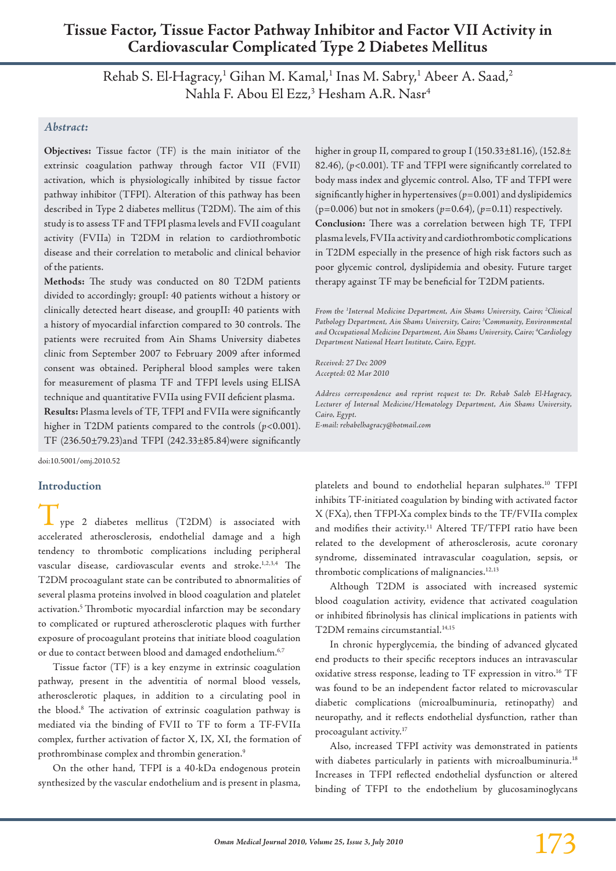# **Tissue Factor, Tissue Factor Pathway Inhibitor and Factor VII Activity in Cardiovascular Complicated Type 2 Diabetes Mellitus**

Rehab S. El-Hagracy,<sup>1</sup> Gihan M. Kamal,<sup>1</sup> Inas M. Sabry,<sup>1</sup> Abeer A. Saad,<sup>2</sup> Nahla F. Abou El Ezz,<sup>3</sup> Hesham A.R. Nasr<sup>4</sup>

## *Abstract:*

**Objectives:** Tissue factor (TF) is the main initiator of the extrinsic coagulation pathway through factor VII (FVII) activation, which is physiologically inhibited by tissue factor pathway inhibitor (TFPI). Alteration of this pathway has been described in Type 2 diabetes mellitus (T2DM). The aim of this study is to assess TF and TFPI plasma levels and FVII coagulant activity (FVIIa) in T2DM in relation to cardiothrombotic disease and their correlation to metabolic and clinical behavior of the patients.

**Methods:** The study was conducted on 80 T2DM patients divided to accordingly; groupI: 40 patients without a history or clinically detected heart disease, and groupII: 40 patients with a history of myocardial infarction compared to 30 controls. The patients were recruited from Ain Shams University diabetes clinic from September 2007 to February 2009 after informed consent was obtained. Peripheral blood samples were taken for measurement of plasma TF and TFPI levels using ELISA technique and quantitative FVIIa using FVII deficient plasma. **Results:** Plasma levels of TF, TFPI and FVIIa were significantly higher in T2DM patients compared to the controls (*p*<0.001). TF (236.50±79.23)and TFPI (242.33±85.84)were significantly

doi:10.5001/omj.2010.52

### **Introduction**

ype 2 diabetes mellitus (T2DM) is associated with accelerated atherosclerosis, endothelial damage and a high tendency to thrombotic complications including peripheral vascular disease, cardiovascular events and stroke.<sup>1,2,3,4</sup> The T2DM procoagulant state can be contributed to abnormalities of several plasma proteins involved in blood coagulation and platelet activation.<sup>5</sup> Thrombotic myocardial infarction may be secondary to complicated or ruptured atherosclerotic plaques with further exposure of procoagulant proteins that initiate blood coagulation or due to contact between blood and damaged endothelium.<sup>6,7</sup>

Tissue factor (TF) is a key enzyme in extrinsic coagulation pathway, present in the adventitia of normal blood vessels, atherosclerotic plaques, in addition to a circulating pool in the blood.8 The activation of extrinsic coagulation pathway is mediated via the binding of FVII to TF to form a TF-FVIIa complex, further activation of factor X, IX, XI, the formation of prothrombinase complex and thrombin generation.9

On the other hand, TFPI is a 40-kDa endogenous protein synthesized by the vascular endothelium and is present in plasma, higher in group II, compared to group I (150.33±81.16), (152.8± 82.46), (*p*<0.001). TF and TFPI were significantly correlated to body mass index and glycemic control. Also, TF and TFPI were significantly higher in hypertensives  $(p=0.001)$  and dyslipidemics ( $p=0.006$ ) but not in smokers ( $p=0.64$ ), ( $p=0.11$ ) respectively. **Conclusion:** There was a correlation between high TF, TFPI plasma levels, FVIIa activity and cardiothrombotic complications in T2DM especially in the presence of high risk factors such as poor glycemic control, dyslipidemia and obesity. Future target therapy against TF may be beneficial for T2DM patients.

*From the 1 Internal Medicine Department, Ain Shams University, Cairo; 2 Clinical Pathology Department, Ain Shams University, Cairo; 3 Community, Environmental and Occupational Medicine Department, Ain Shams University, Cairo; 4 Cardiology Department National Heart Institute, Cairo, Egypt.*

*Received: 27 Dec 2009 Accepted: 02 Mar 2010*

*Address correspondence and reprint request to: Dr. Rehab Saleh El-Hagracy, Lecturer of Internal Medicine/Hematology Department, Ain Shams University, Cairo, Egypt. E-mail: rehabelhagracy@hotmail.com*

platelets and bound to endothelial heparan sulphates.10 TFPI inhibits TF-initiated coagulation by binding with activated factor X (FXa), then TFPI-Xa complex binds to the TF/FVIIa complex and modifies their activity.<sup>11</sup> Altered TF/TFPI ratio have been related to the development of atherosclerosis, acute coronary syndrome, disseminated intravascular coagulation, sepsis, or thrombotic complications of malignancies.12,13

Although T2DM is associated with increased systemic blood coagulation activity, evidence that activated coagulation or inhibited fibrinolysis has clinical implications in patients with T2DM remains circumstantial.<sup>14,15</sup>

In chronic hyperglycemia, the binding of advanced glycated end products to their specific receptors induces an intravascular oxidative stress response, leading to TF expression in vitro.<sup>16</sup> TF was found to be an independent factor related to microvascular diabetic complications (microalbuminuria, retinopathy) and neuropathy, and it reflects endothelial dysfunction, rather than procoagulant activity.17

Also, increased TFPI activity was demonstrated in patients with diabetes particularly in patients with microalbuminuria.<sup>18</sup> Increases in TFPI reflected endothelial dysfunction or altered binding of TFPI to the endothelium by glucosaminoglycans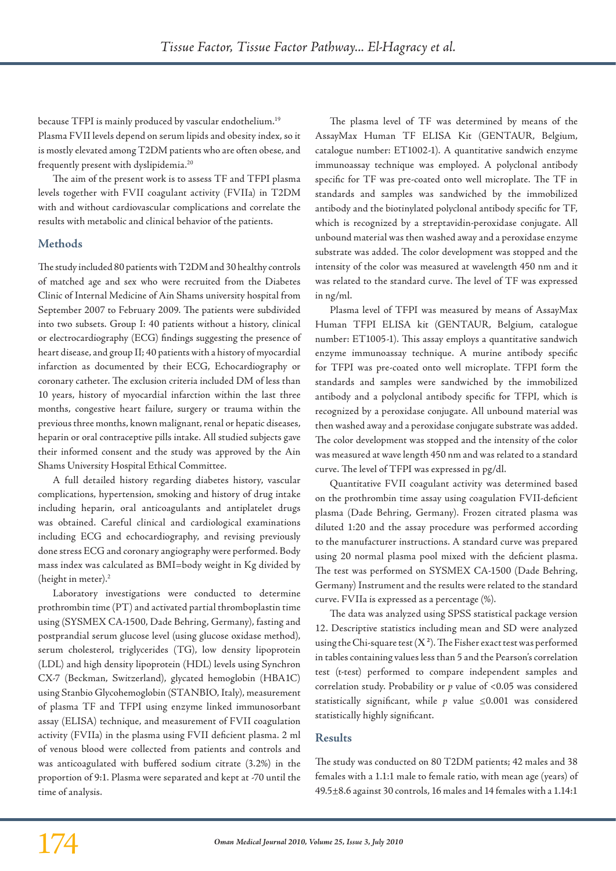because TFPI is mainly produced by vascular endothelium.19 Plasma FVII levels depend on serum lipids and obesity index, so it is mostly elevated among T2DM patients who are often obese, and frequently present with dyslipidemia.20

The aim of the present work is to assess TF and TFPI plasma levels together with FVII coagulant activity (FVIIa) in T2DM with and without cardiovascular complications and correlate the results with metabolic and clinical behavior of the patients.

# **Methods**

The study included 80 patients with T2DM and 30 healthy controls of matched age and sex who were recruited from the Diabetes Clinic of Internal Medicine of Ain Shams university hospital from September 2007 to February 2009. The patients were subdivided into two subsets. Group I: 40 patients without a history, clinical or electrocardiography (ECG) findings suggesting the presence of heart disease, and group II; 40 patients with a history of myocardial infarction as documented by their ECG, Echocardiography or coronary catheter. The exclusion criteria included DM of less than 10 years, history of myocardial infarction within the last three months, congestive heart failure, surgery or trauma within the previous three months, known malignant, renal or hepatic diseases, heparin or oral contraceptive pills intake. All studied subjects gave their informed consent and the study was approved by the Ain Shams University Hospital Ethical Committee.

A full detailed history regarding diabetes history, vascular complications, hypertension, smoking and history of drug intake including heparin, oral anticoagulants and antiplatelet drugs was obtained. Careful clinical and cardiological examinations including ECG and echocardiography, and revising previously done stress ECG and coronary angiography were performed. Body mass index was calculated as BMI=body weight in Kg divided by (height in meter).<sup>2</sup>

Laboratory investigations were conducted to determine prothrombin time (PT) and activated partial thromboplastin time using (SYSMEX CA-1500, Dade Behring, Germany), fasting and postprandial serum glucose level (using glucose oxidase method), serum cholesterol, triglycerides (TG), low density lipoprotein (LDL) and high density lipoprotein (HDL) levels using Synchron CX-7 (Beckman, Switzerland), glycated hemoglobin (HBA1C) using Stanbio Glycohemoglobin (STANBIO, Italy), measurement of plasma TF and TFPI using enzyme linked immunosorbant assay (ELISA) technique, and measurement of FVII coagulation activity (FVIIa) in the plasma using FVII deficient plasma. 2 ml of venous blood were collected from patients and controls and was anticoagulated with buffered sodium citrate (3.2%) in the proportion of 9:1. Plasma were separated and kept at -70 until the time of analysis.

The plasma level of TF was determined by means of the AssayMax Human TF ELISA Kit (GENTAUR, Belgium, catalogue number: ET1002-1). A quantitative sandwich enzyme immunoassay technique was employed. A polyclonal antibody specific for TF was pre-coated onto well microplate. The TF in standards and samples was sandwiched by the immobilized antibody and the biotinylated polyclonal antibody specific for TF, which is recognized by a streptavidin-peroxidase conjugate. All unbound material was then washed away and a peroxidase enzyme substrate was added. The color development was stopped and the intensity of the color was measured at wavelength 450 nm and it was related to the standard curve. The level of TF was expressed in ng/ml.

Plasma level of TFPI was measured by means of AssayMax Human TFPI ELISA kit (GENTAUR, Belgium, catalogue number: ET1005-1). This assay employs a quantitative sandwich enzyme immunoassay technique. A murine antibody specific for TFPI was pre-coated onto well microplate. TFPI form the standards and samples were sandwiched by the immobilized antibody and a polyclonal antibody specific for TFPI, which is recognized by a peroxidase conjugate. All unbound material was then washed away and a peroxidase conjugate substrate was added. The color development was stopped and the intensity of the color was measured at wave length 450 nm and was related to a standard curve. The level of TFPI was expressed in pg/dl.

Quantitative FVII coagulant activity was determined based on the prothrombin time assay using coagulation FVII-deficient plasma (Dade Behring, Germany). Frozen citrated plasma was diluted 1:20 and the assay procedure was performed according to the manufacturer instructions. A standard curve was prepared using 20 normal plasma pool mixed with the deficient plasma. The test was performed on SYSMEX CA-1500 (Dade Behring, Germany) Instrument and the results were related to the standard curve. FVIIa is expressed as a percentage (%).

The data was analyzed using SPSS statistical package version 12. Descriptive statistics including mean and SD were analyzed using the Chi-square test  $(X^2)$ . The Fisher exact test was performed in tables containing values less than 5 and the Pearson's correlation test (t-test) performed to compare independent samples and correlation study. Probability or *p* value of <0.05 was considered statistically significant, while *p* value ≤0.001 was considered statistically highly significant.

# **Results**

The study was conducted on 80 T2DM patients; 42 males and 38 females with a 1.1:1 male to female ratio, with mean age (years) of 49.5±8.6 against 30 controls, 16 males and 14 females with a 1.14:1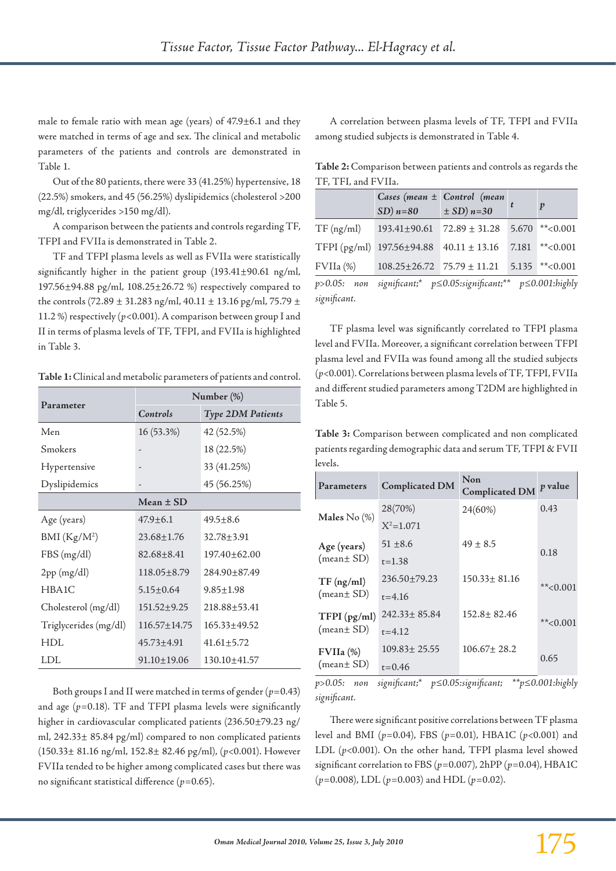male to female ratio with mean age (years) of 47.9±6.1 and they were matched in terms of age and sex. The clinical and metabolic parameters of the patients and controls are demonstrated in Table 1.

Out of the 80 patients, there were 33 (41.25%) hypertensive, 18 (22.5%) smokers, and 45 (56.25%) dyslipidemics (cholesterol >200 mg/dl, triglycerides >150 mg/dl).

A comparison between the patients and controls regarding TF, TFPI and FVIIa is demonstrated in Table 2.

TF and TFPI plasma levels as well as FVIIa were statistically significantly higher in the patient group (193.41±90.61 ng/ml, 197.56±94.88 pg/ml, 108.25±26.72 %) respectively compared to the controls (72.89  $\pm$  31.283 ng/ml, 40.11  $\pm$  13.16 pg/ml, 75.79  $\pm$ 11.2 %) respectively (*p*<0.001). A comparison between group I and II in terms of plasma levels of TF, TFPI, and FVIIa is highlighted in Table 3.

**Table 1:** Clinical and metabolic parameters of patients and control.

| Parameter                | Number (%)         |                          |  |
|--------------------------|--------------------|--------------------------|--|
|                          | Controls           | <b>Type 2DM Patients</b> |  |
| Men                      | 16 (53.3%)         | 42 (52.5%)               |  |
| Smokers                  | -                  | 18 (22.5%)               |  |
| Hypertensive             |                    | 33 (41.25%)              |  |
| Dyslipidemics            |                    | 45 (56.25%)              |  |
|                          | Mean $\pm$ SD      |                          |  |
| Age (years)              | $47.9 + 6.1$       | $49.5 + 8.6$             |  |
| BMI (Kg/M <sup>2</sup> ) | 23.68±1.76         | $32.78 + 3.91$           |  |
| FBS(mg/dl)               | $82.68 + 8.41$     | 197.40±62.00             |  |
| 2pp (mg/dl)              | $118.05 \pm 8.79$  | 284.90+87.49             |  |
| HBA1C                    | $5.15 + 0.64$      | $9.85 + 1.98$            |  |
| Cholesterol (mg/dl)      | $151.52 + 9.25$    | 218.88+53.41             |  |
| Triglycerides (mg/dl)    | $116.57 \pm 14.75$ | 165.33+49.52             |  |
| HDL                      | $45.73 + 4.91$     | $41.61 + 5.72$           |  |
| LDL                      | $91.10 \pm 19.06$  | 130.10±41.57             |  |

Both groups I and II were matched in terms of gender  $(p=0.43)$ and age (*p=*0.18). TF and TFPI plasma levels were significantly higher in cardiovascular complicated patients (236.50±79.23 ng/ ml, 242.33± 85.84 pg/ml) compared to non complicated patients (150.33± 81.16 ng/ml, 152.8± 82.46 pg/ml), (*p<*0.001). However FVIIa tended to be higher among complicated cases but there was no significant statistical difference (*p=*0.65).

A correlation between plasma levels of TF, TFPI and FVIIa among studied subjects is demonstrated in Table 4.

**Table 2:** Comparison between patients and controls as regards the TF, TFI, and FVIIa.

|              | $SD$ ) $n=80$                        | Cases (mean $\pm$ Control (mean<br>$\pm$ SD) $n=30$              |       | $\boldsymbol{p}$ |
|--------------|--------------------------------------|------------------------------------------------------------------|-------|------------------|
|              |                                      |                                                                  |       |                  |
| $TF$ (ng/ml) | 193.41±90.61                         | $72.89 \pm 31.28$                                                | 5.670 | $*$ < 0.001      |
| TFPI(pg/ml)  | 197.56±94.88                         | $40.11 \pm 13.16$                                                | 7.181 | $*$ < 0.001      |
| $FVIIa$ $%$  | $108.25 \pm 26.72$ 75.79 $\pm$ 11.21 |                                                                  |       | $5.135$ **<0.001 |
| p>0.05: non  |                                      | significant;* $p \le 0.05$ :significant;** $p \le 0.001$ :highly |       |                  |
| significant. |                                      |                                                                  |       |                  |

TF plasma level was significantly correlated to TFPI plasma level and FVIIa. Moreover, a significant correlation between TFPI plasma level and FVIIa was found among all the studied subjects (*p<*0.001). Correlations between plasma levels of TF, TFPI, FVIIa and different studied parameters among T2DM are highlighted in Table 5.

**Table 3:** Comparison between complicated and non complicated patients regarding demographic data and serum TF, TFPI & FVII levels.

| Parameters        | <b>Complicated DM</b> | Non<br><b>Complicated DM</b> | p value     |
|-------------------|-----------------------|------------------------------|-------------|
|                   | 28(70%)               | 24(60%)                      | 0.43        |
| Males $No$ $(\%)$ | $X^2=1.071$           |                              |             |
| Age (years)       | $51 + 8.6$            | $49 \pm 8.5$                 | 0.18        |
| (mean± SD)        | $t = 1.38$            |                              |             |
| $TF$ (ng/ml)      | 236.50±79.23          | $150.33 \pm 81.16$           | $*$ < 0.001 |
| (mean± SD)        | $t = 4.16$            |                              |             |
| TFPI(pg/ml)       | $242.33 \pm 85.84$    | $152.8 \pm 82.46$            | ** $<0.001$ |
| (mean± SD)        | $t = 4.12$            |                              |             |
| FVIIa (%)         | $109.83 \pm 25.55$    | $106.67 \pm 28.2$            | 0.65        |
| (mean± SD)        | $t = 0.46$            |                              |             |

*p>0.05: non significant;\* p≤0.05:significant; \*\*p≤0.001:highly significant.*

There were significant positive correlations between TF plasma level and BMI (*p=*0.04), FBS (*p=*0.01), HBA1C (*p<*0.001) and LDL (*p<*0.001). On the other hand, TFPI plasma level showed significant correlation to FBS (*p=*0.007), 2hPP (*p=*0.04), HBA1C (*p=*0.008), LDL (*p=*0.003) and HDL (*p=*0.02).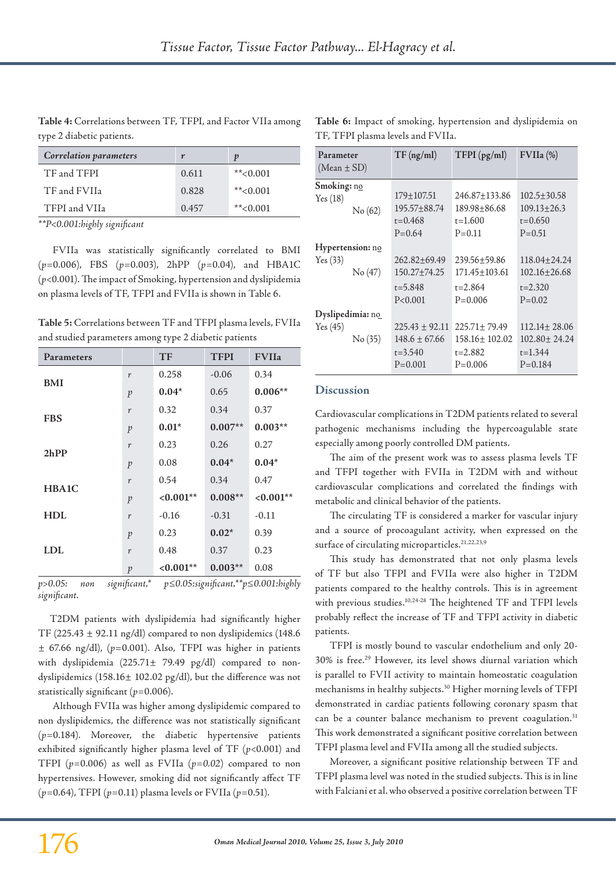**Table 4:** Correlations between TF, TFPI, and Factor VIIa among type 2 diabetic patients.

| Correlation parameters |       | p           |
|------------------------|-------|-------------|
| TF and TFPI            | 0.611 | $*$ < 0.001 |
| TF and FVIIa           | 0.828 | $*$ < 0.001 |
| TFPI and VIIa          | 0.457 | $*$ < 0.001 |

*\*\*P<0.001:highly significant*

FVIIa was statistically significantly correlated to BMI (*p=*0.006), FBS (*p=*0.003), 2hPP (*p=*0.04), and HBA1C (*p<*0.001). The impact of Smoking, hypertension and dyslipidemia on plasma levels of TF, TFPI and FVIIa is shown in Table 6.

**Table 5:** Correlations between TF and TFPI plasma levels, FVIIa and studied parameters among type 2 diabetic patients

| Parameters |                | <b>TF</b>   | <b>TFPI</b> | <b>FVIIa</b> |
|------------|----------------|-------------|-------------|--------------|
|            | r              | 0.258       | $-0.06$     | 0.34         |
| <b>BMI</b> | $\mathfrak{p}$ | $0.04*$     | 0.65        | $0.006**$    |
|            | r              | 0.32        | 0.34        | 0.37         |
| <b>FBS</b> | $\mathfrak{p}$ | $0.01*$     | $0.007**$   | $0.003**$    |
|            | r              | 0.23        | 0.26        | 0.27         |
| 2hPP       | $\mathfrak{p}$ | 0.08        | $0.04*$     | $0.04*$      |
|            | r              | 0.54        | 0.34        | 0.47         |
| HBA1C      | $\mathfrak{p}$ | $< 0.001**$ | $0.008**$   | $<0.001**$   |
| <b>HDL</b> | r              | $-0.16$     | $-0.31$     | $-0.11$      |
|            | $\mathfrak{p}$ | 0.23        | $0.02*$     | 0.39         |
| <b>LDL</b> | r              | 0.48        | 0.37        | 0.23         |
|            | $\mathfrak{p}$ | $<0.001**$  | $0.003**$   | 0.08         |

*p>0.05: non significant,\* p≤0.05:significant,\*\*p≤0.001:highly significant.*

T2DM patients with dyslipidemia had significantly higher TF (225.43  $\pm$  92.11 ng/dl) compared to non dyslipidemics (148.6) ± 67.66 ng/dl), (*p*=0.001). Also, TFPI was higher in patients with dyslipidemia (225.71± 79.49 pg/dl) compared to nondyslipidemics (158.16± 102.02 pg/dl), but the difference was not statistically significant (*p=*0.006).

Although FVIIa was higher among dyslipidemic compared to non dyslipidemics, the difference was not statistically significant (*p=*0.184). Moreover, the diabetic hypertensive patients exhibited significantly higher plasma level of TF (*p<*0.001) and TFPI (*p=*0.006) as well as FVIIa (*p=0.02*) compared to non hypertensives. However, smoking did not significantly affect TF (*p=*0.64), TFPI (*p=*0.11) plasma levels or FVIIa (*p=*0.51).

**Table 6:** Impact of smoking, hypertension and dyslipidemia on TF, TFPI plasma levels and FVIIa.

| Parameter<br>$(Mean \pm SD)$ |                             | TF(ng/ml)                                                             | TFPI(pg/ml)                                                             | FVIIa (%)                                                              |
|------------------------------|-----------------------------|-----------------------------------------------------------------------|-------------------------------------------------------------------------|------------------------------------------------------------------------|
| Smoking: no<br>Yes(18)       | No(62)                      | $179 \pm 107.51$<br>195.57±88.74<br>$t = 0.468$<br>$P = 0.64$         | 246.87±133.86<br>189.98±86.68<br>$t = 1.600$<br>$P = 0.11$              | $102.5 \pm 30.58$<br>$109.13 \pm 26.3$<br>$t = 0.650$<br>$P = 0.51$    |
| Hypertension: no<br>Yes(33)  | No (47)                     | $262.82 \pm 69.49$<br>$150.27 \pm 74.25$<br>$t = 5.848$<br>P < 0.001  | 239.56±59.86<br>$171.45 + 103.61$<br>$t = 2.864$<br>$P=0.006$           | $118.04 \pm 24.24$<br>$102.16 + 26.68$<br>$t = 2.320$<br>$P = 0.02$    |
| Yes(45)                      | Dyslipedimia: no<br>No (35) | $225.43 \pm 92.11$<br>$148.6 \pm 67.66$<br>$t = 3.540$<br>$P = 0.001$ | $225.71 \pm 79.49$<br>$158.16 \pm 102.02$<br>$t = 2.882$<br>$P = 0.006$ | $112.14 \pm 28.06$<br>$102.80 \pm 24.24$<br>$t = 1.344$<br>$P = 0.184$ |

## **Discussion**

Cardiovascular complications in T2DM patients related to several pathogenic mechanisms including the hypercoagulable state especially among poorly controlled DM patients.

The aim of the present work was to assess plasma levels TF and TFPI together with FVIIa in T2DM with and without cardiovascular complications and correlated the findings with metabolic and clinical behavior of the patients.

The circulating TF is considered a marker for vascular injury and a source of procoagulant activity, when expressed on the surface of circulating microparticles.<sup>21,22,23,9</sup>

This study has demonstrated that not only plasma levels of TF but also TFPI and FVIIa were also higher in T2DM patients compared to the healthy controls. This is in agreement with previous studies.<sup>10,24-28</sup> The heightened TF and TFPI levels probably reflect the increase of TF and TFPI activity in diabetic patients.

TFPI is mostly bound to vascular endothelium and only 20- 30% is free.29 However, its level shows diurnal variation which is parallel to FVII activity to maintain homeostatic coagulation mechanisms in healthy subjects.<sup>30</sup> Higher morning levels of TFPI demonstrated in cardiac patients following coronary spasm that can be a counter balance mechanism to prevent coagulation.<sup>31</sup> This work demonstrated a significant positive correlation between TFPI plasma level and FVIIa among all the studied subjects.

Moreover, a significant positive relationship between TF and TFPI plasma level was noted in the studied subjects. This is in line with Falciani et al. who observed a positive correlation between TF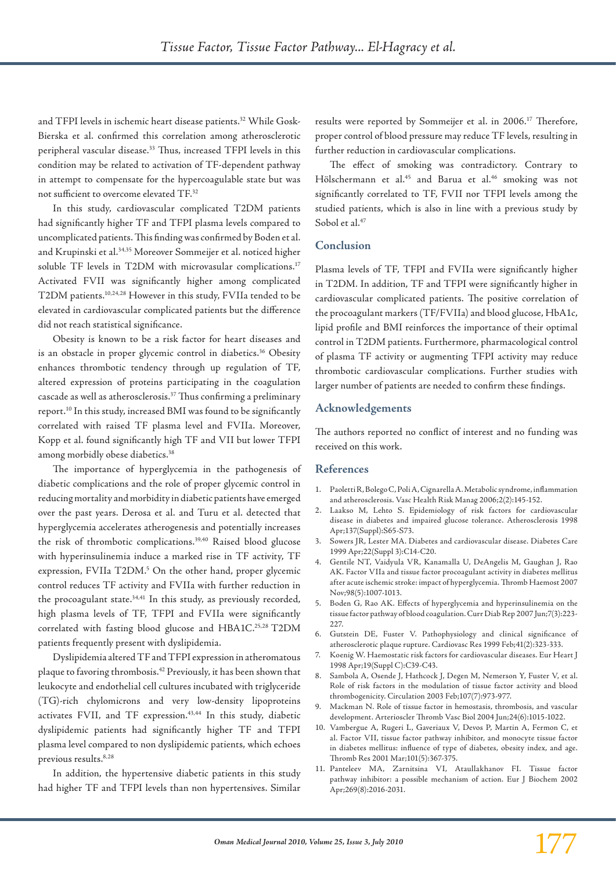and TFPI levels in ischemic heart disease patients.<sup>32</sup> While Gosk-Bierska et al. confirmed this correlation among atherosclerotic peripheral vascular disease.<sup>33</sup> Thus, increased TFPI levels in this condition may be related to activation of TF-dependent pathway in attempt to compensate for the hypercoagulable state but was not sufficient to overcome elevated TF.32

In this study, cardiovascular complicated T2DM patients had significantly higher TF and TFPI plasma levels compared to uncomplicated patients. This finding was confirmed by Boden et al. and Krupinski et al.34,35 Moreover Sommeijer et al. noticed higher soluble TF levels in T2DM with microvasular complications.<sup>17</sup> Activated FVII was significantly higher among complicated T2DM patients.10,24,28 However in this study, FVIIa tended to be elevated in cardiovascular complicated patients but the difference did not reach statistical significance.

Obesity is known to be a risk factor for heart diseases and is an obstacle in proper glycemic control in diabetics.<sup>36</sup> Obesity enhances thrombotic tendency through up regulation of TF, altered expression of proteins participating in the coagulation cascade as well as atherosclerosis.37 Thus confirming a preliminary report.10 In this study, increased BMI was found to be significantly correlated with raised TF plasma level and FVIIa. Moreover, Kopp et al. found significantly high TF and VII but lower TFPI among morbidly obese diabetics.<sup>38</sup>

The importance of hyperglycemia in the pathogenesis of diabetic complications and the role of proper glycemic control in reducing mortality and morbidity in diabetic patients have emerged over the past years. Derosa et al. and Turu et al. detected that hyperglycemia accelerates atherogenesis and potentially increases the risk of thrombotic complications.<sup>39,40</sup> Raised blood glucose with hyperinsulinemia induce a marked rise in TF activity, TF expression, FVIIa T2DM.<sup>5</sup> On the other hand, proper glycemic control reduces TF activity and FVIIa with further reduction in the procoagulant state.<sup>34,41</sup> In this study, as previously recorded, high plasma levels of TF, TFPI and FVIIa were significantly correlated with fasting blood glucose and HBA1C.25,28 T2DM patients frequently present with dyslipidemia.

Dyslipidemia altered TF and TFPI expression in atheromatous plaque to favoring thrombosis.42 Previously, it has been shown that leukocyte and endothelial cell cultures incubated with triglyceride (TG)-rich chylomicrons and very low-density lipoproteins activates FVII, and TF expression.<sup>43,44</sup> In this study, diabetic dyslipidemic patients had significantly higher TF and TFPI plasma level compared to non dyslipidemic patients, which echoes previous results.<sup>8,28</sup>

In addition, the hypertensive diabetic patients in this study had higher TF and TFPI levels than non hypertensives. Similar results were reported by Sommeijer et al. in 2006.<sup>17</sup> Therefore, proper control of blood pressure may reduce TF levels, resulting in further reduction in cardiovascular complications.

The effect of smoking was contradictory. Contrary to Hölschermann et al.<sup>45</sup> and Barua et al.<sup>46</sup> smoking was not significantly correlated to TF, FVII nor TFPI levels among the studied patients, which is also in line with a previous study by Sobol et al.<sup>47</sup>

### **Conclusion**

Plasma levels of TF, TFPI and FVIIa were significantly higher in T2DM. In addition, TF and TFPI were significantly higher in cardiovascular complicated patients. The positive correlation of the procoagulant markers (TF/FVIIa) and blood glucose, HbA1c, lipid profile and BMI reinforces the importance of their optimal control in T2DM patients. Furthermore, pharmacological control of plasma TF activity or augmenting TFPI activity may reduce thrombotic cardiovascular complications. Further studies with larger number of patients are needed to confirm these findings.

### **Acknowledgements**

The authors reported no conflict of interest and no funding was received on this work.

### **References**

- 1. Paoletti R, Bolego C, Poli A, Cignarella A. Metabolic syndrome, inflammation and atherosclerosis. Vasc Health Risk Manag 2006;2(2):145-152.
- 2. Laakso M, Lehto S. Epidemiology of risk factors for cardiovascular disease in diabetes and impaired glucose tolerance. Atherosclerosis 1998 Apr;137(Suppl):S65-S73.
- 3. Sowers JR, Lester MA. Diabetes and cardiovascular disease. Diabetes Care 1999 Apr;22(Suppl 3):C14-C20.
- 4. Gentile NT, Vaidyula VR, Kanamalla U, DeAngelis M, Gaughan J, Rao AK. Factor VIIa and tissue factor procoagulant activity in diabetes mellitus after acute ischemic stroke: impact of hyperglycemia. Thromb Haemost 2007 Nov;98(5):1007-1013.
- 5. Boden G, Rao AK. Effects of hyperglycemia and hyperinsulinemia on the tissue factor pathway of blood coagulation. Curr Diab Rep 2007 Jun;7(3):223- 227.
- 6. Gutstein DE, Fuster V. Pathophysiology and clinical significance of atherosclerotic plaque rupture. Cardiovasc Res 1999 Feb;41(2):323-333.
- Koenig W. Haemostatic risk factors for cardiovascular diseases. Eur Heart J 1998 Apr;19(Suppl C):C39-C43.
- 8. Sambola A, Osende J, Hathcock J, Degen M, Nemerson Y, Fuster V, et al. Role of risk factors in the modulation of tissue factor activity and blood thrombogenicity. Circulation 2003 Feb;107(7):973-977.
- 9. Mackman N. Role of tissue factor in hemostasis, thrombosis, and vascular development. Arterioscler Thromb Vasc Biol 2004 Jun;24(6):1015-1022.
- 10. Vambergue A, Rugeri L, Gaveriaux V, Devos P, Martin A, Fermon C, et al. Factor VII, tissue factor pathway inhibitor, and monocyte tissue factor in diabetes mellitus: influence of type of diabetes, obesity index, and age. Thromb Res 2001 Mar;101(5):367-375.
- 11. Panteleev MA, Zarnitsina VI, Ataullakhanov FI. Tissue factor pathway inhibitor: a possible mechanism of action. Eur J Biochem 2002 Apr;269(8):2016-2031.